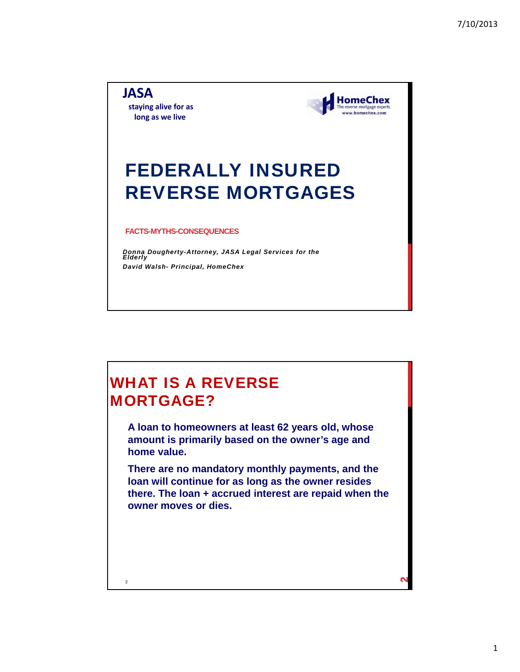**JASA staying alive for as long as we live**



# FEDERALLY INSURED REVERSE MORTGAGES

#### **FACTS-MYTHS-CONSEQUENCES**

*Donna Dougherty-Attorney, JASA Legal Services for the Elderly David Walsh- Principal, HomeChex*

# WHAT IS A REVERSE MORTGAGE?

**A loan to homeowners at least 62 years old, whose amount is primarily based on the owner's age and home value.**

**There are no mandatory monthly payments, and the loan will continue for as long as the owner resides there. The loan + accrued interest are repaid when the owner moves or dies.**

 $\frac{2}{2}$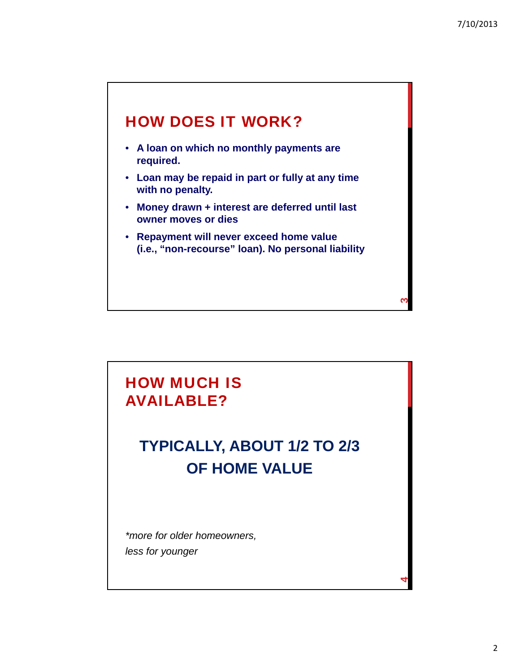**ო** 

**4**

# HOW DOES IT WORK?

- **A loan on which no monthly payments are required.**
- **Loan may be repaid in part or fully at any time with no penalty.**
- **Money drawn + interest are deferred until last owner moves or dies**
- **Repayment will never exceed home value (i.e., "non-recourse" loan). No personal liability**

# HOW MUCH IS AVAILABLE?

# **TYPICALLY, ABOUT 1/2 TO 2/3 OF HOME VALUE**

*\*more for older homeowners, less for younger*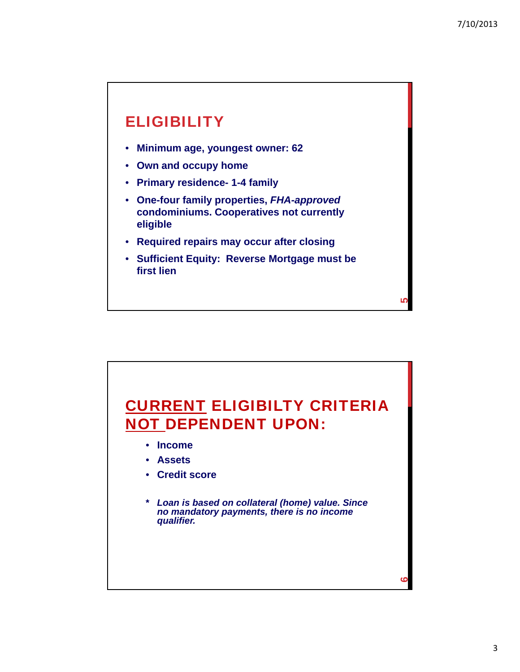<u>ເດ</u>

### **ELIGIBILITY**

- **Minimum age, youngest owner: 62**
- **Own and occupy home**
- **Primary residence- 1-4 family**
- **One-four family properties,** *FHA-approved* **condominiums. Cooperatives not currently eligible**
- **Required repairs may occur after closing**
- **Sufficient Equity: Reverse Mortgage must be first lien**

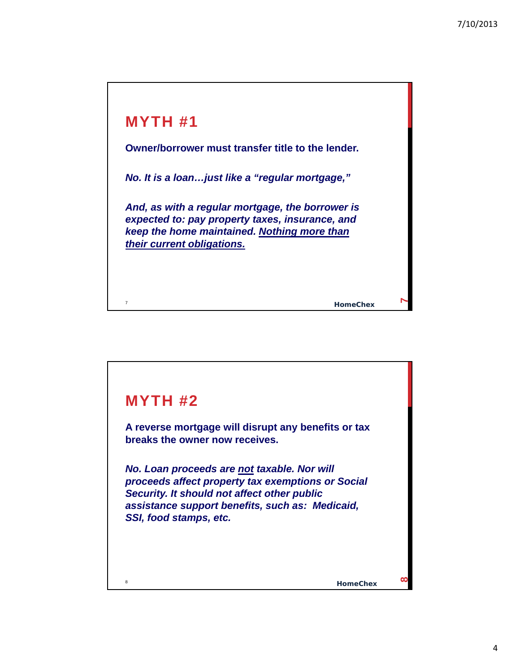

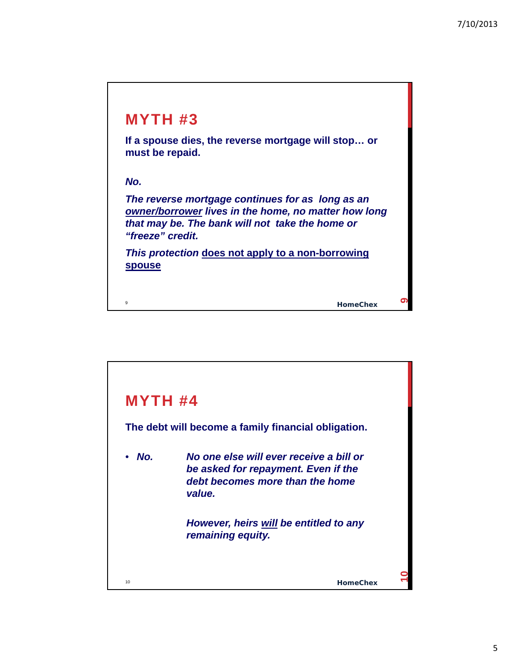

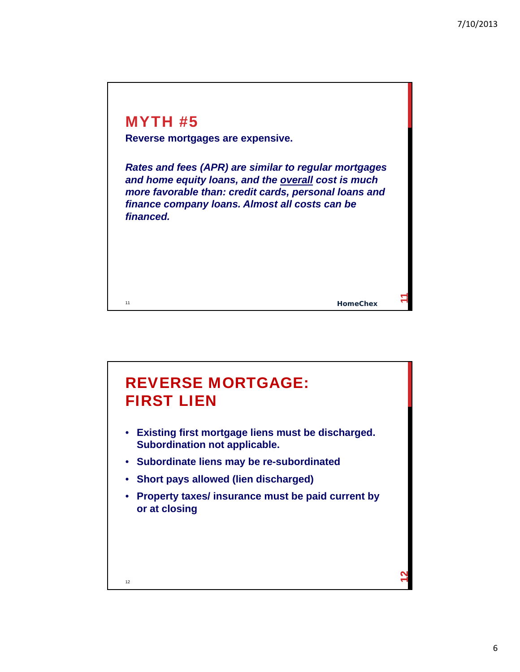### MYTH #5

11

**Reverse mortgages are expensive.**

*Rates and fees (APR) are similar to regular mortgages and home equity loans, and the overall cost is much more favorable than: credit cards, personal loans and finance company loans. Almost all costs can be financed.*

#### **HomeChex**

**11**

# 12 **12** REVERSE MORTGAGE: FIRST LIEN • **Existing first mortgage liens must be discharged. Subordination not applicable.** • **Subordinate liens may be re-subordinated** • **Short pays allowed (lien discharged)** • **Property taxes/ insurance must be paid current by or at closing**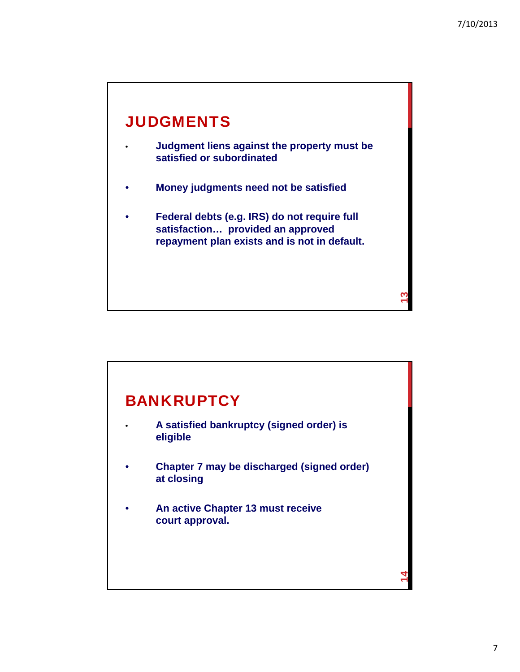

- **Judgment liens against the property must be satisfied or subordinated**
- **Money judgments need not be satisfied**
- **Federal debts (e.g. IRS) do not require full satisfaction… provided an approved repayment plan exists and is not in default.**

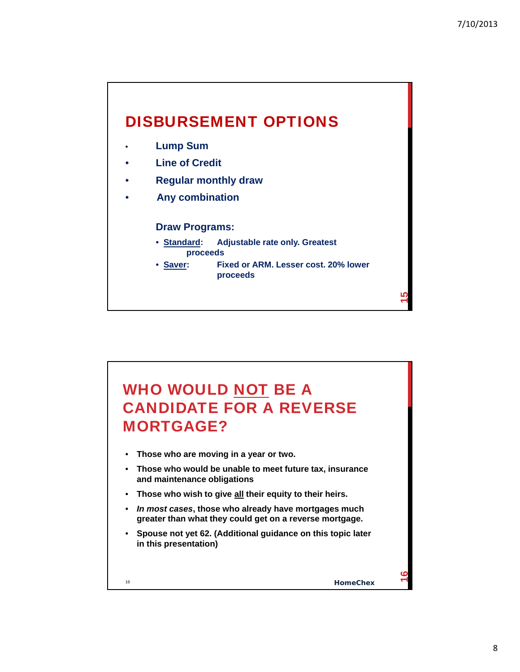## DISBURSEMENT OPTIONS

- **Lump Sum**
- **Line of Credit**
- **Regular monthly draw**
- **Any combination**

#### **Draw Programs:**

- **Standard: Adjustable rate only. Greatest proceeds**
- **Saver: Fixed or ARM. Lesser cost. 20% lower proceeds**

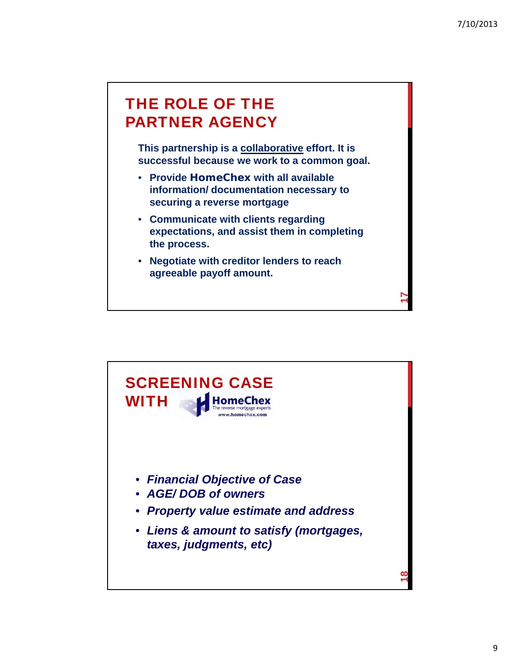# THE ROLE OF THE PARTNER AGENCY

**This partnership is a collaborative effort. It is successful because we work to a common goal.**

- **Provide HomeChex with all available information/ documentation necessary to securing a reverse mortgage**
- **Communicate with clients regarding expectations, and assist them in completing the process.**
- **Negotiate with creditor lenders to reach agreeable payoff amount.**

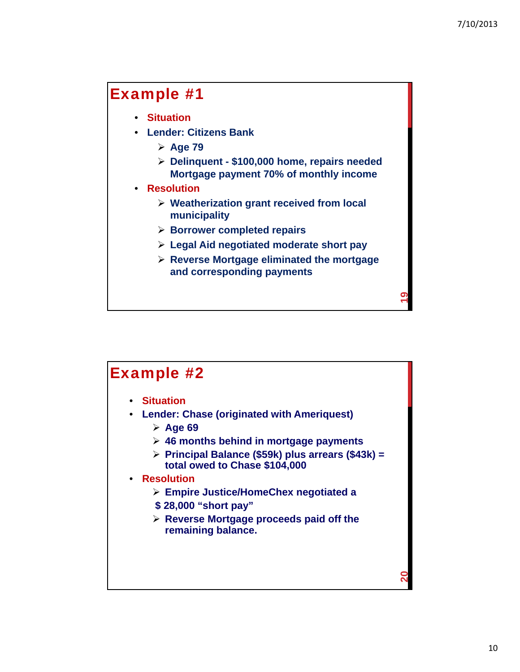**20**

### Example #1

- **Situation**
- **Lender: Citizens Bank**
	- **Age 79**
	- **Delinquent \$100,000 home, repairs needed Mortgage payment 70% of monthly income**
- **Resolution**
	- **Weatherization grant received from local municipality**
	- **Borrower completed repairs**
	- **Legal Aid negotiated moderate short pay**
	- **Reverse Mortgage eliminated the mortgage and corresponding payments**

### Example #2

- **Situation**
- **Lender: Chase (originated with Ameriquest)**
	- **Age 69**
	- **46 months behind in mortgage payments**
	- **Principal Balance (\$59k) plus arrears (\$43k) = total owed to Chase \$104,000**

#### • **Resolution**

- **Empire Justice/HomeChex negotiated a**
- **\$ 28,000 "short pay"**
- **Reverse Mortgage proceeds paid off the remaining balance.**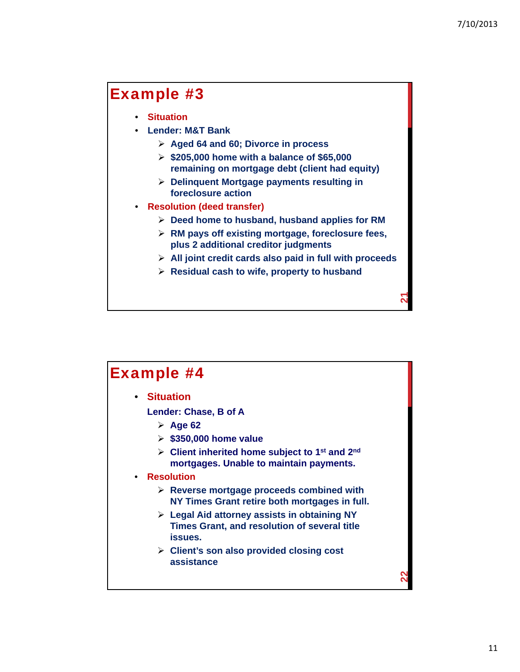**22**

### Example #3

- **Situation**
- **Lender: M&T Bank**
	- **Aged 64 and 60; Divorce in process**
	- **\$205,000 home with a balance of \$65,000 remaining on mortgage debt (client had equity)**
	- **Delinquent Mortgage payments resulting in foreclosure action**
- **Resolution (deed transfer)**
	- **Deed home to husband, husband applies for RM**
	- **RM pays off existing mortgage, foreclosure fees, plus 2 additional creditor judgments**
	- **All joint credit cards also paid in full with proceeds**
	- **Residual cash to wife, property to husband**

### Example #4

• **Situation**

**Lender: Chase, B of A**

- **Age 62**
- **\$350,000 home value**
- **Client inherited home subject to 1st and 2nd mortgages. Unable to maintain payments.**
- **Resolution**
	- **Reverse mortgage proceeds combined with NY Times Grant retire both mortgages in full.**
	- **Legal Aid attorney assists in obtaining NY Times Grant, and resolution of several title issues.**
	- **Client's son also provided closing cost assistance**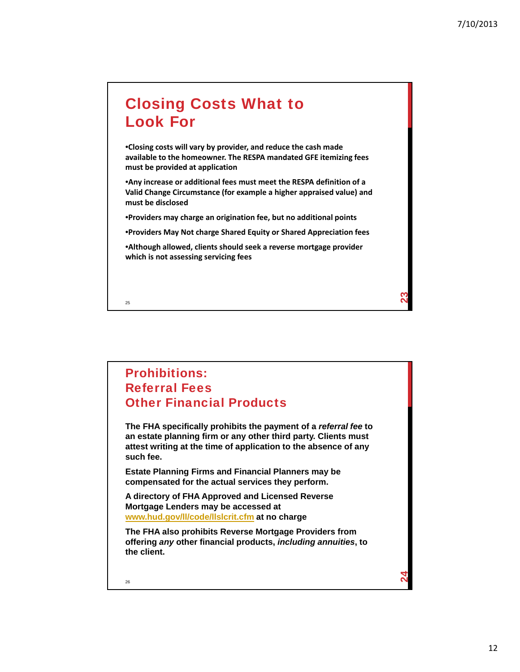**24**

# Closing Costs What to Look For

•**Closing costs will vary by provider, and reduce the cash made available to the homeowner. The RESPA mandated GFE itemizing fees must be provided at application**

•**Any increase or additional fees must meet the RESPA definition of a Valid Change Circumstance (for example a higher appraised value) and must be disclosed**

•**Providers may charge an origination fee, but no additional points**

•**Providers May Not charge Shared Equity or Shared Appreciation fees**

•**Although allowed, clients should seek a reverse mortgage provider which is not assessing servicing fees**

25

#### Prohibitions: Referral Fees Other Financial Products

**The FHA specifically prohibits the payment of a** *referral fee* **to an estate planning firm or any other third party. Clients must attest writing at the time of application to the absence of any such fee.** 

**Estate Planning Firms and Financial Planners may be compensated for the actual services they perform.** 

**A directory of FHA Approved and Licensed Reverse Mortgage Lenders may be accessed at www.hud.gov/ll/code/llslcrit.cfm at no charge**

**The FHA also prohibits Reverse Mortgage Providers from offering** *any* **other financial products,** *including annuities***, to the client.**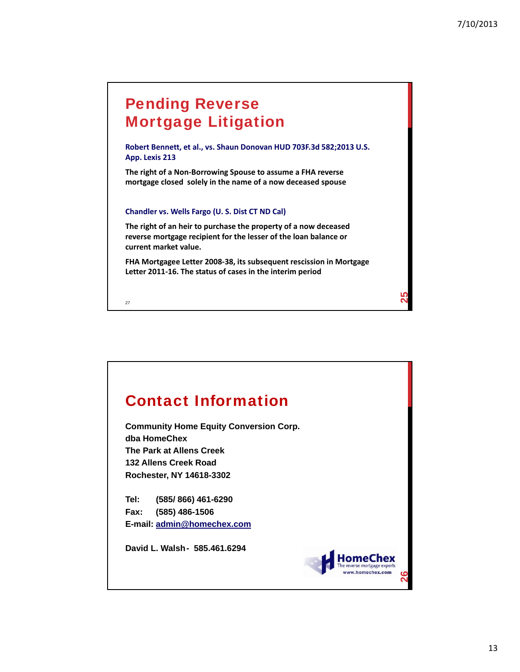# Pending Reverse Mortgage Litigation

**Robert Bennett, et al., vs. Shaun Donovan HUD 703F.3d 582;2013 U.S. App. Lexis 213**

**The right of a Non‐Borrowing Spouse to assume a FHA reverse mortgage closed solely in the name of a now deceased spouse**

#### **Chandler vs. Wells Fargo (U. S. Dist CT ND Cal)**

**The right of an heir to purchase the property of a now deceased reverse mortgage recipient for the lesser of the loan balance or current market value.** 

**FHA Mortgagee Letter 2008‐38, its subsequent rescission in Mortgage Letter 2011‐16. The status of cases in the interim period**